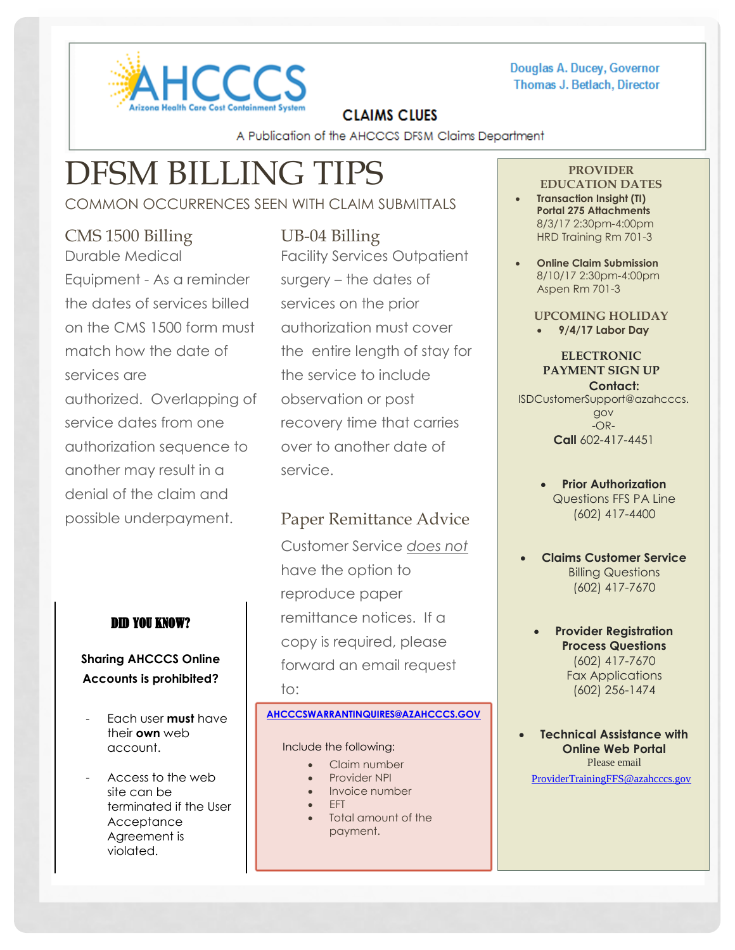

#### Douglas A. Ducey, Governor **Thomas J. Betlach, Director**

# **CLAIMS CLUES**

A Publication of the AHCCCS DFSM Claims Department

# DFSM BILLING TIPS

# COMMON OCCURRENCES SEEN WITH CLAIM SUBMITTALS

## CMS 1500 Billing Durable Medical

Equipment - As a reminder the dates of services billed on the CMS 1500 form must match how the date of services are authorized. Overlapping of service dates from one authorization sequence to another may result in a denial of the claim and possible underpayment.

## DID YOU KNOW?

#### **Sharing AHCCCS Online Accounts is prohibited?**

- Each user **must** have their **own** web account.
- Access to the web site can be terminated if the User **Acceptance** Agreement is violated.

# UB-04 Billing

Facility Services Outpatient surgery – the dates of services on the prior authorization must cover the entire length of stay for the service to include observation or post recovery time that carries over to another date of service.

# Paper Remittance Advice

Customer Service *does not* have the option to reproduce paper remittance notices. If a copy is required, please forward an email request to:

#### **[AHCCCSWARRANTINQUIRES@AZAHCCCS.GOV](mailto:AHCCCSWARRANTINQUIRES@AZAHCCCS.GOV)**

#### Include the following:

- Claim number
- Provider NPI
- Invoice number
- EFT
- Total amount of the payment.

# **PROVIDER**

- **EDUCATION DATES Transaction Insight (TI) Portal 275 Attachments**  8/3/17 2:30pm-4:00pm HRD Training Rm 701-3
- **Online Claim Submission**  8/10/17 2:30pm-4:00pm Aspen Rm 701-3
	- **UPCOMING HOLIDAY 9/4/17 Labor Day**

#### **ELECTRONIC PAYMENT SIGN UP Contact:**

[ISDCustomerSupport@azahcccs.](mailto:ISDCustomerSupport@azahcccs.gov) [gov](mailto:ISDCustomerSupport@azahcccs.gov)  $-OR-$ **Call** 602-417-4451

- **Prior Authorization** Questions FFS PA Line (602) 417-4400
- **Claims Customer Service** Billing Questions (602) 417-7670
	- **Provider Registration Process Questions** (602) 417-7670 Fax Applications (602) 256-1474

 **Technical Assistance with Online Web Portal** Please email

[ProviderTrainingFFS@azahcccs.gov](mailto:ProviderTrainingFFS@azahcccs.gov)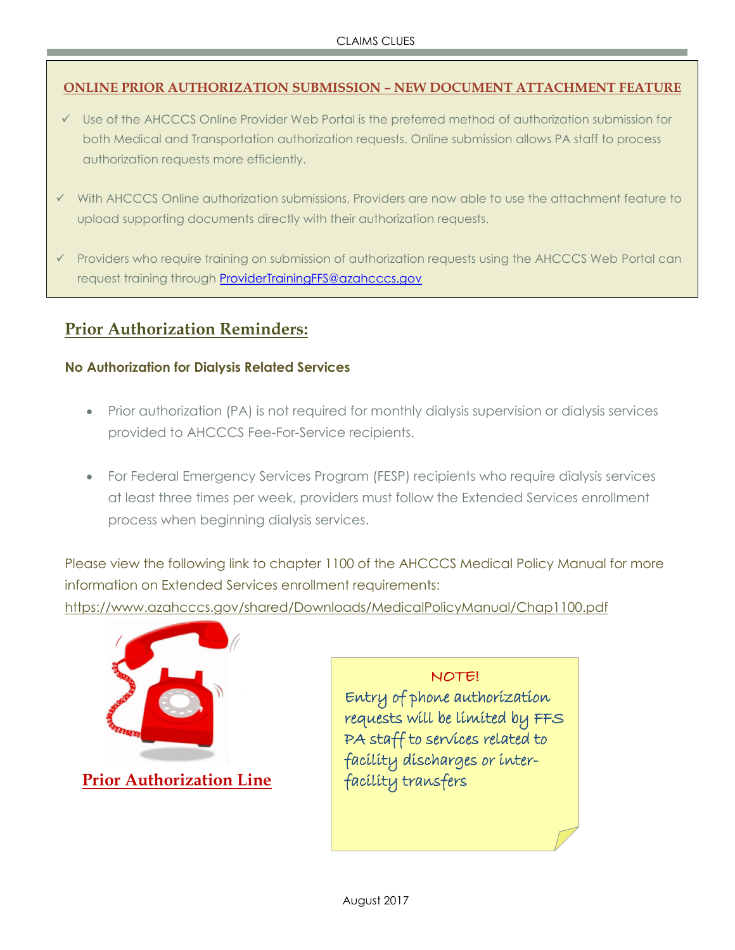#### **ONLINE PRIOR AUTHORIZATION SUBMISSION – NEW DOCUMENT ATTACHMENT FEATURE**

- Use of the AHCCCS Online Provider Web Portal is the preferred method of authorization submission for both Medical and Transportation authorization requests. Online submission allows PA staff to process authorization requests more efficiently.
- With AHCCCS Online authorization submissions, Providers are now able to use the attachment feature to upload supporting documents directly with their authorization requests.
- Providers who require training on submission of authorization requests using the AHCCCS Web Portal can request training through [ProviderTrainingFFS@azahcccs.gov](mailto:ProviderTrainingFFS@azahcccs.gov)

# **Prior Authorization Reminders:**

#### **No Authorization for Dialysis Related Services**

- Prior authorization (PA) is not required for monthly dialysis supervision or dialysis services provided to AHCCCS Fee-For-Service recipients.
- For Federal Emergency Services Program (FESP) recipients who require dialysis services at least three times per week, providers must follow the Extended Services enrollment process when beginning dialysis services.

Please view the following link to chapter 1100 of the AHCCCS Medical Policy Manual for more information on Extended Services enrollment requirements:

<https://www.azahcccs.gov/shared/Downloads/MedicalPolicyManual/Chap1100.pdf>



**Prior Authorization Line**

NOTE! Entry of phone authorization requests will be limited by FFS PA staff to services related to facility discharges or interfacility transfers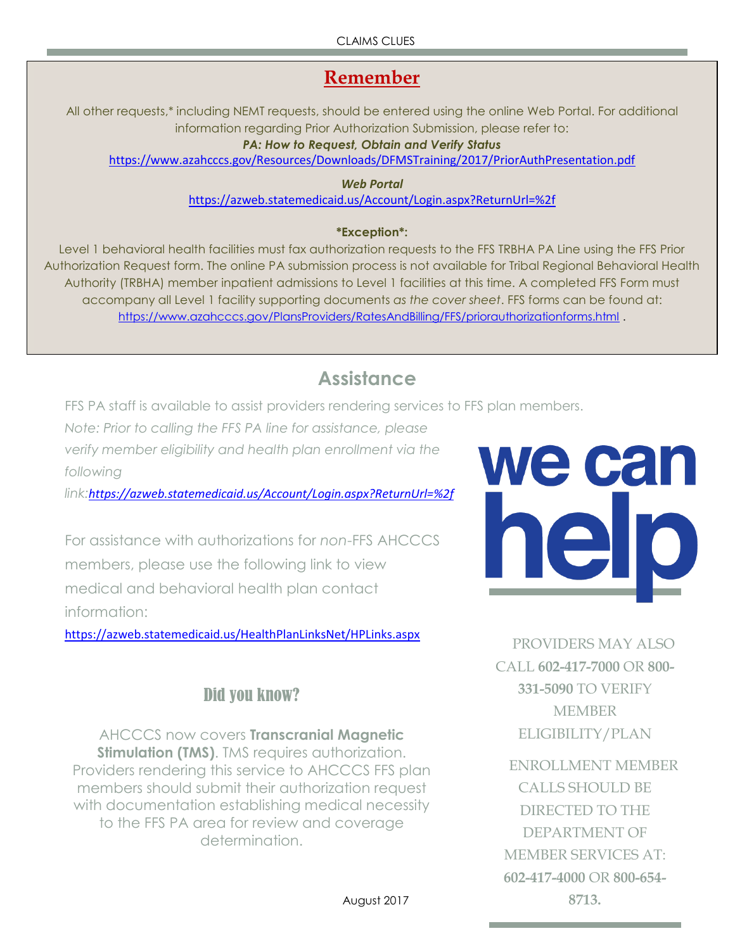CLAIMS CLUES

# **Remember**

All other requests,\* including NEMT requests, should be entered using the online Web Portal. For additional information regarding Prior Authorization Submission, please refer to:

#### *PA: How to Request, Obtain and Verify Status*

<https://www.azahcccs.gov/Resources/Downloads/DFMSTraining/2017/PriorAuthPresentation.pdf>

*Web Portal* <https://azweb.statemedicaid.us/Account/Login.aspx?ReturnUrl=%2f>

#### **\*Exception\*:**

Level 1 behavioral health facilities must fax authorization requests to the FFS TRBHA PA Line using the FFS Prior Authorization Request form. The online PA submission process is not available for Tribal Regional Behavioral Health Authority (TRBHA) member inpatient admissions to Level 1 facilities at this time. A completed FFS Form must accompany all Level 1 facility supporting documents *as the cover sheet*. FFS forms can be found at: <https://www.azahcccs.gov/PlansProviders/RatesAndBilling/FFS/priorauthorizationforms.html> .

# **Assistance**

FFS PA staff is available to assist providers rendering services to FFS plan members.

*Note: Prior to calling the FFS PA line for assistance, please* 

*verify member eligibility and health plan enrollment via the following* 

*link:<https://azweb.statemedicaid.us/Account/Login.aspx?ReturnUrl=%2f>*

For assistance with authorizations for *non*-FFS AHCCCS members, please use the following link to view medical and behavioral health plan contact information:

<https://azweb.statemedicaid.us/HealthPlanLinksNet/HPLinks.aspx>

# Did you know?

AHCCCS now covers **Transcranial Magnetic Stimulation (TMS)**. TMS requires authorization. Providers rendering this service to AHCCCS FFS plan members should submit their authorization request with documentation establishing medical necessity to the FFS PA area for review and coverage determination.



PROVIDERS MAY ALSO CALL **602-417-7000** OR **800- 331-5090** TO VERIFY MEMBER ELIGIBILITY/PLAN

ENROLLMENT MEMBER CALLS SHOULD BE DIRECTED TO THE DEPARTMENT OF MEMBER SERVICES AT: **602-417-4000** OR **800-654- 8713.**

August 2017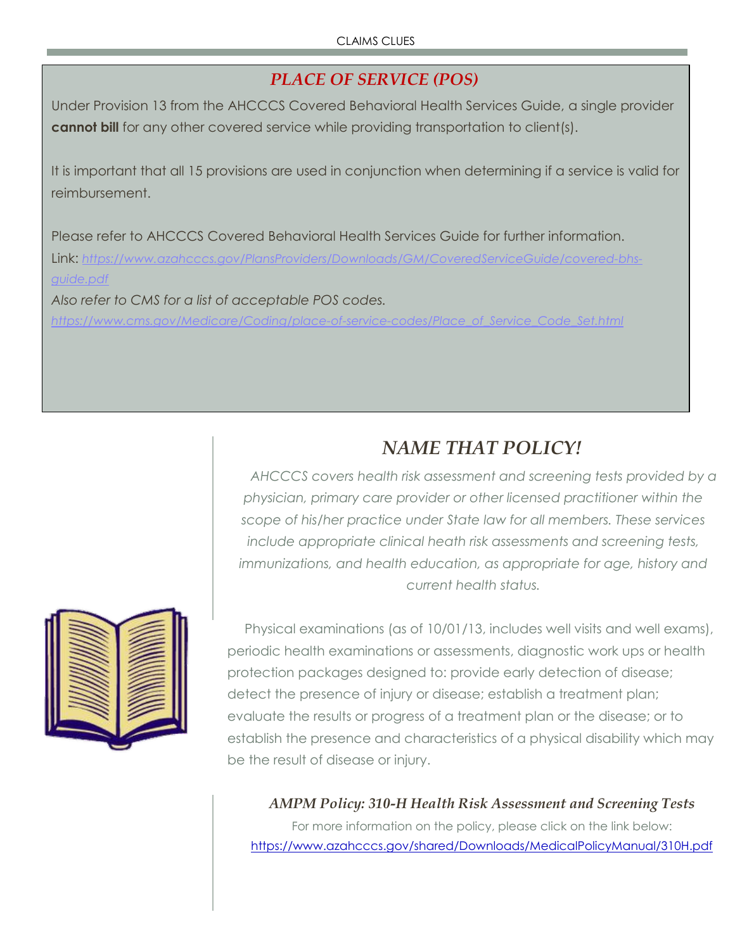# *PLACE OF SERVICE (POS)*

Under Provision 13 from the AHCCCS Covered Behavioral Health Services Guide, a single provider **cannot bill** for any other covered service while providing transportation to client(s).

It is important that all 15 provisions are used in conjunction when determining if a service is valid for reimbursement.

Please refer to AHCCCS Covered Behavioral Health Services Guide for further information. Link: *[https://www.azahcccs.gov/PlansProviders/Downloads/GM/CoveredServiceGuide/covered-bhs](https://www.azahcccs.gov/PlansProviders/Downloads/GM/CoveredServiceGuide/covered-bhs-guide.pdf)[guide.pdf](https://www.azahcccs.gov/PlansProviders/Downloads/GM/CoveredServiceGuide/covered-bhs-guide.pdf) Also refer to CMS for a list of acceptable POS codes.* 

*[https://www.cms.gov/Medicare/Coding/place-of-service-codes/Place\\_of\\_Service\\_Code\\_Set.html](https://www.cms.gov/Medicare/Coding/place-of-service-codes/Place_of_Service_Code_Set.html)*



# *NAME THAT POLICY!*

*AHCCCS covers health risk assessment and screening tests provided by a physician, primary care provider or other licensed practitioner within the scope of his/her practice under State law for all members. These services include appropriate clinical heath risk assessments and screening tests, immunizations, and health education, as appropriate for age, history and current health status.*

Physical examinations (as of 10/01/13, includes well visits and well exams), periodic health examinations or assessments, diagnostic work ups or health protection packages designed to: provide early detection of disease; detect the presence of injury or disease; establish a treatment plan; evaluate the results or progress of a treatment plan or the disease; or to establish the presence and characteristics of a physical disability which may be the result of disease or injury.

*AMPM Policy: 310-H Health Risk Assessment and Screening Tests* For more information on the policy, please click on the link below: <https://www.azahcccs.gov/shared/Downloads/MedicalPolicyManual/310H.pdf>